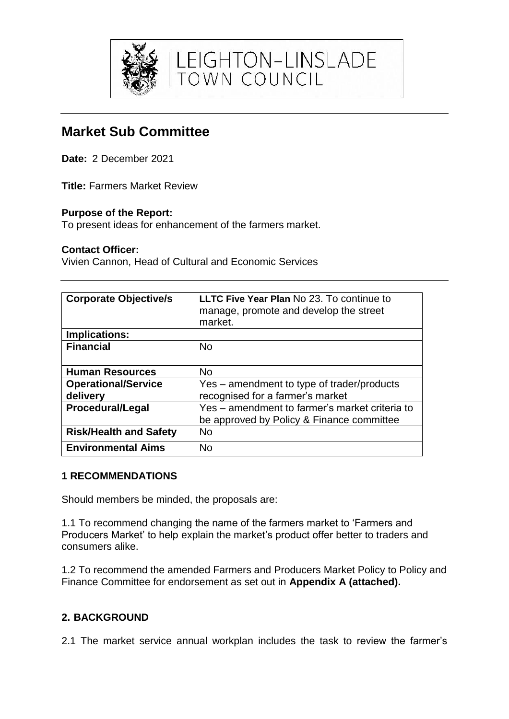

# **Market Sub Committee**

**Date:** 2 December 2021

**Title:** Farmers Market Review

# **Purpose of the Report:**

To present ideas for enhancement of the farmers market.

### **Contact Officer:**

Vivien Cannon, Head of Cultural and Economic Services

| <b>Corporate Objective/s</b>  | <b>LLTC Five Year Plan No 23. To continue to</b><br>manage, promote and develop the street<br>market. |
|-------------------------------|-------------------------------------------------------------------------------------------------------|
| <b>Implications:</b>          |                                                                                                       |
| <b>Financial</b>              | <b>No</b>                                                                                             |
| <b>Human Resources</b>        | <b>No</b>                                                                                             |
| <b>Operational/Service</b>    | Yes – amendment to type of trader/products                                                            |
| delivery                      | recognised for a farmer's market                                                                      |
| <b>Procedural/Legal</b>       | Yes - amendment to farmer's market criteria to                                                        |
|                               | be approved by Policy & Finance committee                                                             |
| <b>Risk/Health and Safety</b> | <b>No</b>                                                                                             |
| <b>Environmental Aims</b>     | No                                                                                                    |

### **1 RECOMMENDATIONS**

Should members be minded, the proposals are:

1.1 To recommend changing the name of the farmers market to 'Farmers and Producers Market' to help explain the market's product offer better to traders and consumers alike.

1.2 To recommend the amended Farmers and Producers Market Policy to Policy and Finance Committee for endorsement as set out in **Appendix A (attached).**

# **2. BACKGROUND**

2.1 The market service annual workplan includes the task to review the farmer's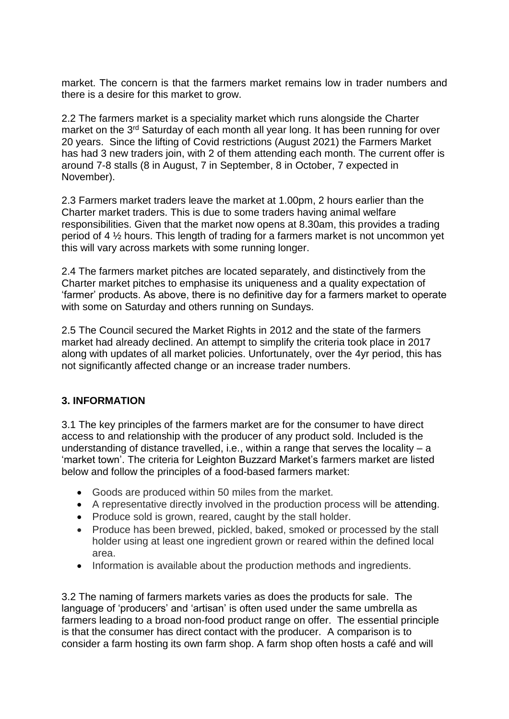market. The concern is that the farmers market remains low in trader numbers and there is a desire for this market to grow.

2.2 The farmers market is a speciality market which runs alongside the Charter market on the 3<sup>rd</sup> Saturday of each month all year long. It has been running for over 20 years. Since the lifting of Covid restrictions (August 2021) the Farmers Market has had 3 new traders join, with 2 of them attending each month. The current offer is around 7-8 stalls (8 in August, 7 in September, 8 in October, 7 expected in November).

2.3 Farmers market traders leave the market at 1.00pm, 2 hours earlier than the Charter market traders. This is due to some traders having animal welfare responsibilities. Given that the market now opens at 8.30am, this provides a trading period of 4 ½ hours. This length of trading for a farmers market is not uncommon yet this will vary across markets with some running longer.

2.4 The farmers market pitches are located separately, and distinctively from the Charter market pitches to emphasise its uniqueness and a quality expectation of 'farmer' products. As above, there is no definitive day for a farmers market to operate with some on Saturday and others running on Sundays.

2.5 The Council secured the Market Rights in 2012 and the state of the farmers market had already declined. An attempt to simplify the criteria took place in 2017 along with updates of all market policies. Unfortunately, over the 4yr period, this has not significantly affected change or an increase trader numbers.

### **3. INFORMATION**

3.1 The key principles of the farmers market are for the consumer to have direct access to and relationship with the producer of any product sold. Included is the understanding of distance travelled, i.e., within a range that serves the locality – a 'market town'. The criteria for Leighton Buzzard Market's farmers market are listed below and follow the principles of a food-based farmers market:

- Goods are produced within 50 miles from the market.
- A representative directly involved in the production process will be attending.
- Produce sold is grown, reared, caught by the stall holder.
- Produce has been brewed, pickled, baked, smoked or processed by the stall holder using at least one ingredient grown or reared within the defined local area.
- Information is available about the production methods and ingredients.

3.2 The naming of farmers markets varies as does the products for sale. The language of 'producers' and 'artisan' is often used under the same umbrella as farmers leading to a broad non-food product range on offer. The essential principle is that the consumer has direct contact with the producer. A comparison is to consider a farm hosting its own farm shop. A farm shop often hosts a café and will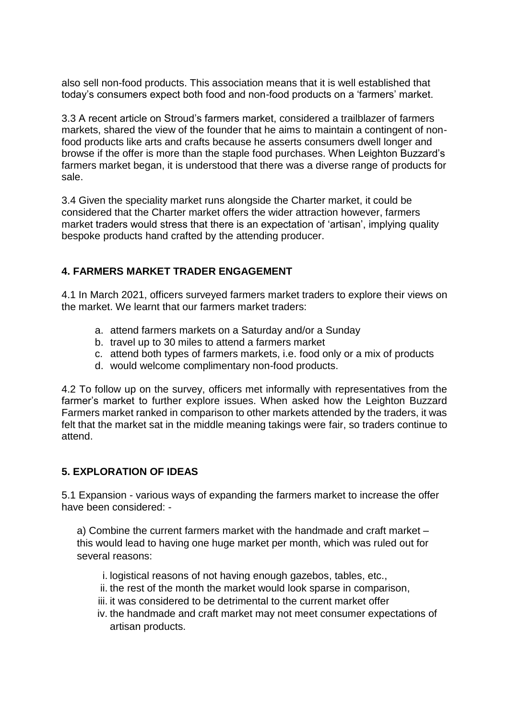also sell non-food products. This association means that it is well established that today's consumers expect both food and non-food products on a 'farmers' market.

3.3 A recent article on Stroud's farmers market, considered a trailblazer of farmers markets, shared the view of the founder that he aims to maintain a contingent of nonfood products like arts and crafts because he asserts consumers dwell longer and browse if the offer is more than the staple food purchases. When Leighton Buzzard's farmers market began, it is understood that there was a diverse range of products for sale.

3.4 Given the speciality market runs alongside the Charter market, it could be considered that the Charter market offers the wider attraction however, farmers market traders would stress that there is an expectation of 'artisan', implying quality bespoke products hand crafted by the attending producer.

# **4. FARMERS MARKET TRADER ENGAGEMENT**

4.1 In March 2021, officers surveyed farmers market traders to explore their views on the market. We learnt that our farmers market traders:

- a. attend farmers markets on a Saturday and/or a Sunday
- b. travel up to 30 miles to attend a farmers market
- c. attend both types of farmers markets, i.e. food only or a mix of products
- d. would welcome complimentary non-food products.

4.2 To follow up on the survey, officers met informally with representatives from the farmer's market to further explore issues. When asked how the Leighton Buzzard Farmers market ranked in comparison to other markets attended by the traders, it was felt that the market sat in the middle meaning takings were fair, so traders continue to attend.

# **5. EXPLORATION OF IDEAS**

5.1 Expansion - various ways of expanding the farmers market to increase the offer have been considered: -

a) Combine the current farmers market with the handmade and craft market – this would lead to having one huge market per month, which was ruled out for several reasons:

- i. logistical reasons of not having enough gazebos, tables, etc.,
- ii. the rest of the month the market would look sparse in comparison,
- iii. it was considered to be detrimental to the current market offer
- iv. the handmade and craft market may not meet consumer expectations of artisan products.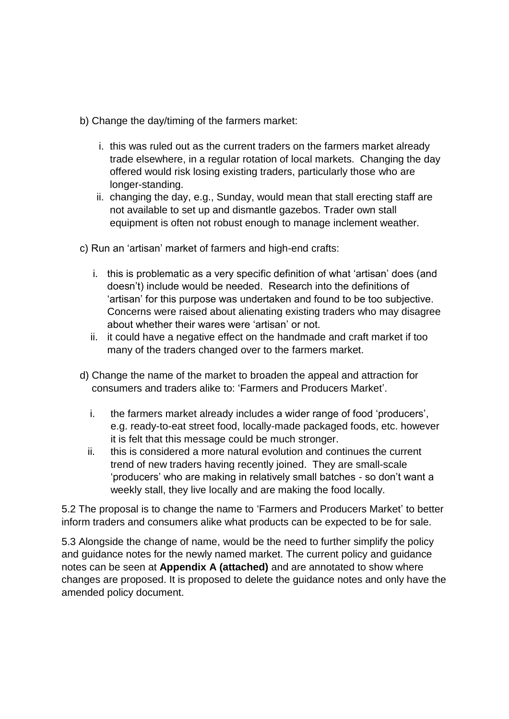b) Change the day/timing of the farmers market:

- i. this was ruled out as the current traders on the farmers market already trade elsewhere, in a regular rotation of local markets. Changing the day offered would risk losing existing traders, particularly those who are longer-standing.
- ii. changing the day, e.g., Sunday, would mean that stall erecting staff are not available to set up and dismantle gazebos. Trader own stall equipment is often not robust enough to manage inclement weather.

c) Run an 'artisan' market of farmers and high-end crafts:

- i. this is problematic as a very specific definition of what 'artisan' does (and doesn't) include would be needed. Research into the definitions of 'artisan' for this purpose was undertaken and found to be too subjective. Concerns were raised about alienating existing traders who may disagree about whether their wares were 'artisan' or not.
- ii. it could have a negative effect on the handmade and craft market if too many of the traders changed over to the farmers market.
- d) Change the name of the market to broaden the appeal and attraction for consumers and traders alike to: 'Farmers and Producers Market'.
	- i. the farmers market already includes a wider range of food 'producers', e.g. ready-to-eat street food, locally-made packaged foods, etc. however it is felt that this message could be much stronger.
	- ii. this is considered a more natural evolution and continues the current trend of new traders having recently joined. They are small-scale 'producers' who are making in relatively small batches - so don't want a weekly stall, they live locally and are making the food locally.

5.2 The proposal is to change the name to 'Farmers and Producers Market' to better inform traders and consumers alike what products can be expected to be for sale.

5.3 Alongside the change of name, would be the need to further simplify the policy and guidance notes for the newly named market. The current policy and guidance notes can be seen at **Appendix A (attached)** and are annotated to show where changes are proposed. It is proposed to delete the guidance notes and only have the amended policy document.